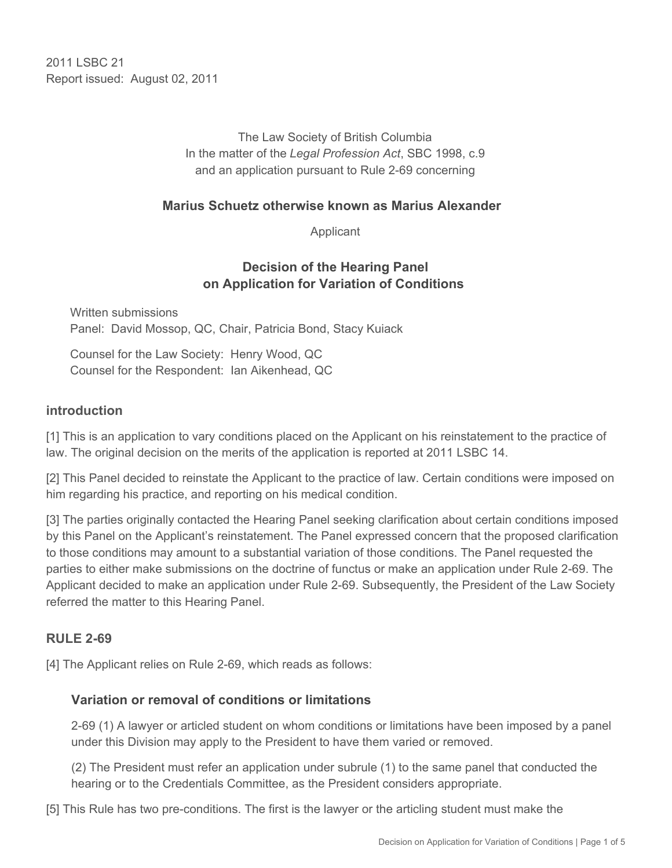2011 I SBC 21 Report issued: August 02, 2011

> The Law Society of British Columbia In the matter of the *Legal Profession Act*, SBC 1998, c.9 and an application pursuant to Rule 2-69 concerning

#### **Marius Schuetz otherwise known as Marius Alexander**

Applicant

### **Decision of the Hearing Panel on Application for Variation of Conditions**

Written submissions Panel: David Mossop, QC, Chair, Patricia Bond, Stacy Kuiack

Counsel for the Law Society: Henry Wood, QC Counsel for the Respondent: Ian Aikenhead, QC

#### **introduction**

[1] This is an application to vary conditions placed on the Applicant on his reinstatement to the practice of law. The original decision on the merits of the application is reported at 2011 LSBC 14.

[2] This Panel decided to reinstate the Applicant to the practice of law. Certain conditions were imposed on him regarding his practice, and reporting on his medical condition.

[3] The parties originally contacted the Hearing Panel seeking clarification about certain conditions imposed by this Panel on the Applicant's reinstatement. The Panel expressed concern that the proposed clarification to those conditions may amount to a substantial variation of those conditions. The Panel requested the parties to either make submissions on the doctrine of functus or make an application under Rule 2-69. The Applicant decided to make an application under Rule 2-69. Subsequently, the President of the Law Society referred the matter to this Hearing Panel.

### **RULE 2-69**

[4] The Applicant relies on Rule 2-69, which reads as follows:

#### **Variation or removal of conditions or limitations**

2-69 (1) A lawyer or articled student on whom conditions or limitations have been imposed by a panel under this Division may apply to the President to have them varied or removed.

(2) The President must refer an application under subrule (1) to the same panel that conducted the hearing or to the Credentials Committee, as the President considers appropriate.

[5] This Rule has two pre-conditions. The first is the lawyer or the articling student must make the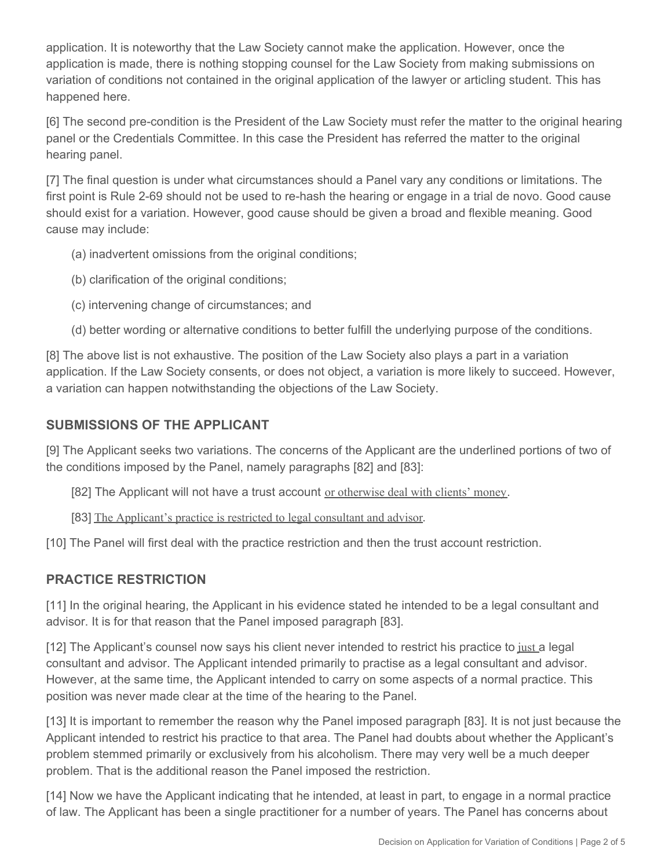application. It is noteworthy that the Law Society cannot make the application. However, once the application is made, there is nothing stopping counsel for the Law Society from making submissions on variation of conditions not contained in the original application of the lawyer or articling student. This has happened here.

[6] The second pre-condition is the President of the Law Society must refer the matter to the original hearing panel or the Credentials Committee. In this case the President has referred the matter to the original hearing panel.

[7] The final question is under what circumstances should a Panel vary any conditions or limitations. The first point is Rule 2-69 should not be used to re-hash the hearing or engage in a trial de novo. Good cause should exist for a variation. However, good cause should be given a broad and flexible meaning. Good cause may include:

- (a) inadvertent omissions from the original conditions;
- (b) clarification of the original conditions;
- (c) intervening change of circumstances; and
- (d) better wording or alternative conditions to better fulfill the underlying purpose of the conditions.

[8] The above list is not exhaustive. The position of the Law Society also plays a part in a variation application. If the Law Society consents, or does not object, a variation is more likely to succeed. However, a variation can happen notwithstanding the objections of the Law Society.

### **SUBMISSIONS OF THE APPLICANT**

[9] The Applicant seeks two variations. The concerns of the Applicant are the underlined portions of two of the conditions imposed by the Panel, namely paragraphs [82] and [83]:

[82] The Applicant will not have a trust account or otherwise deal with clients' money.

[83] The Applicant's practice is restricted to legal consultant and advisor.

[10] The Panel will first deal with the practice restriction and then the trust account restriction.

#### **PRACTICE RESTRICTION**

[11] In the original hearing, the Applicant in his evidence stated he intended to be a legal consultant and advisor. It is for that reason that the Panel imposed paragraph [83].

[12] The Applicant's counsel now says his client never intended to restrict his practice to just a legal consultant and advisor. The Applicant intended primarily to practise as a legal consultant and advisor. However, at the same time, the Applicant intended to carry on some aspects of a normal practice. This position was never made clear at the time of the hearing to the Panel.

[13] It is important to remember the reason why the Panel imposed paragraph [83]. It is not just because the Applicant intended to restrict his practice to that area. The Panel had doubts about whether the Applicant's problem stemmed primarily or exclusively from his alcoholism. There may very well be a much deeper problem. That is the additional reason the Panel imposed the restriction.

[14] Now we have the Applicant indicating that he intended, at least in part, to engage in a normal practice of law. The Applicant has been a single practitioner for a number of years. The Panel has concerns about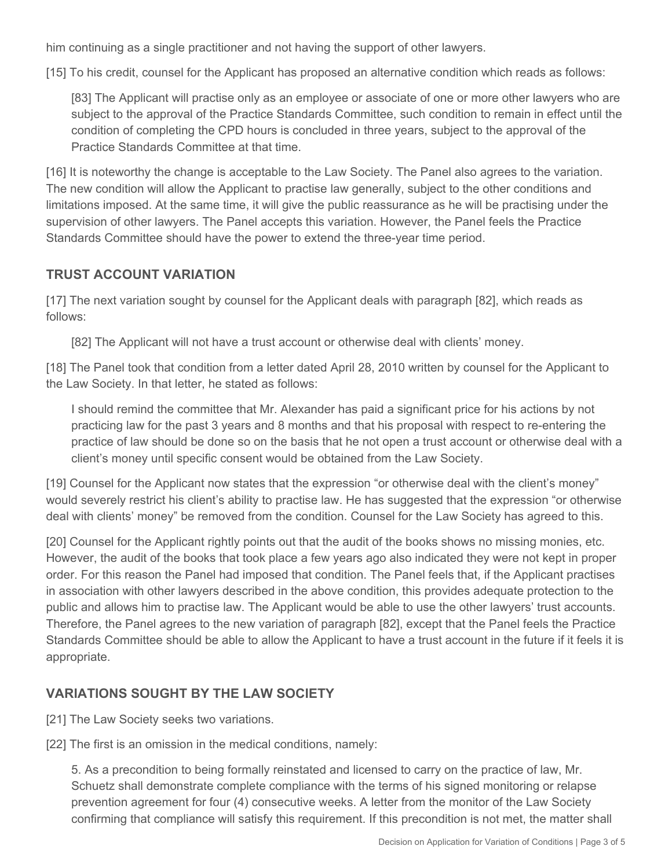him continuing as a single practitioner and not having the support of other lawyers.

[15] To his credit, counsel for the Applicant has proposed an alternative condition which reads as follows:

[83] The Applicant will practise only as an employee or associate of one or more other lawyers who are subject to the approval of the Practice Standards Committee, such condition to remain in effect until the condition of completing the CPD hours is concluded in three years, subject to the approval of the Practice Standards Committee at that time.

[16] It is noteworthy the change is acceptable to the Law Society. The Panel also agrees to the variation. The new condition will allow the Applicant to practise law generally, subject to the other conditions and limitations imposed. At the same time, it will give the public reassurance as he will be practising under the supervision of other lawyers. The Panel accepts this variation. However, the Panel feels the Practice Standards Committee should have the power to extend the three-year time period.

# **TRUST ACCOUNT VARIATION**

[17] The next variation sought by counsel for the Applicant deals with paragraph [82], which reads as follows:

[82] The Applicant will not have a trust account or otherwise deal with clients' money.

[18] The Panel took that condition from a letter dated April 28, 2010 written by counsel for the Applicant to the Law Society. In that letter, he stated as follows:

I should remind the committee that Mr. Alexander has paid a significant price for his actions by not practicing law for the past 3 years and 8 months and that his proposal with respect to re-entering the practice of law should be done so on the basis that he not open a trust account or otherwise deal with a client's money until specific consent would be obtained from the Law Society.

[19] Counsel for the Applicant now states that the expression "or otherwise deal with the client's money" would severely restrict his client's ability to practise law. He has suggested that the expression "or otherwise deal with clients' money" be removed from the condition. Counsel for the Law Society has agreed to this.

[20] Counsel for the Applicant rightly points out that the audit of the books shows no missing monies, etc. However, the audit of the books that took place a few years ago also indicated they were not kept in proper order. For this reason the Panel had imposed that condition. The Panel feels that, if the Applicant practises in association with other lawyers described in the above condition, this provides adequate protection to the public and allows him to practise law. The Applicant would be able to use the other lawyers' trust accounts. Therefore, the Panel agrees to the new variation of paragraph [82], except that the Panel feels the Practice Standards Committee should be able to allow the Applicant to have a trust account in the future if it feels it is appropriate.

# **VARIATIONS SOUGHT BY THE LAW SOCIETY**

[21] The Law Society seeks two variations.

[22] The first is an omission in the medical conditions, namely:

5. As a precondition to being formally reinstated and licensed to carry on the practice of law, Mr. Schuetz shall demonstrate complete compliance with the terms of his signed monitoring or relapse prevention agreement for four (4) consecutive weeks. A letter from the monitor of the Law Society confirming that compliance will satisfy this requirement. If this precondition is not met, the matter shall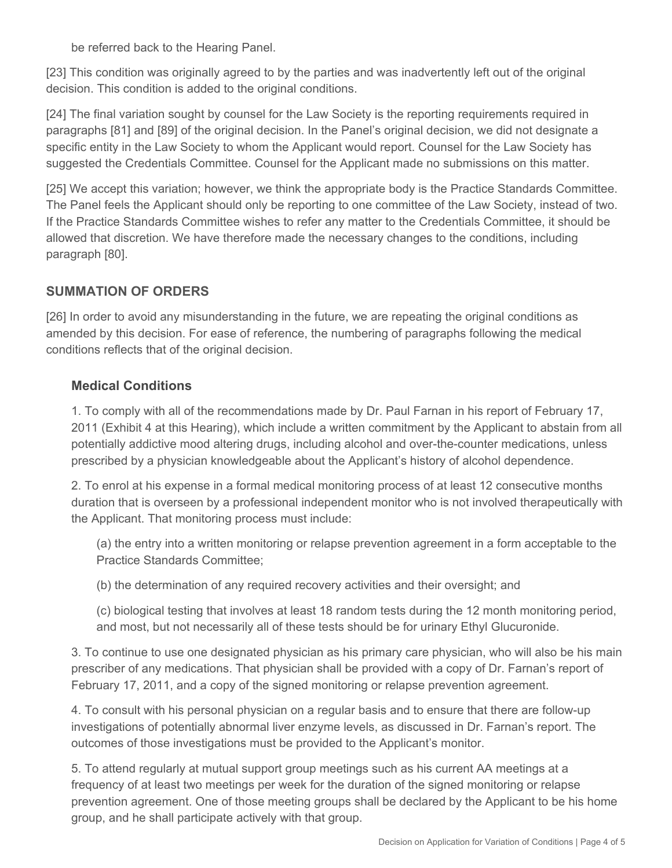be referred back to the Hearing Panel.

[23] This condition was originally agreed to by the parties and was inadvertently left out of the original decision. This condition is added to the original conditions.

[24] The final variation sought by counsel for the Law Society is the reporting requirements required in paragraphs [81] and [89] of the original decision. In the Panel's original decision, we did not designate a specific entity in the Law Society to whom the Applicant would report. Counsel for the Law Society has suggested the Credentials Committee. Counsel for the Applicant made no submissions on this matter.

[25] We accept this variation; however, we think the appropriate body is the Practice Standards Committee. The Panel feels the Applicant should only be reporting to one committee of the Law Society, instead of two. If the Practice Standards Committee wishes to refer any matter to the Credentials Committee, it should be allowed that discretion. We have therefore made the necessary changes to the conditions, including paragraph [80].

# **SUMMATION OF ORDERS**

[26] In order to avoid any misunderstanding in the future, we are repeating the original conditions as amended by this decision. For ease of reference, the numbering of paragraphs following the medical conditions reflects that of the original decision.

### **Medical Conditions**

1. To comply with all of the recommendations made by Dr. Paul Farnan in his report of February 17, 2011 (Exhibit 4 at this Hearing), which include a written commitment by the Applicant to abstain from all potentially addictive mood altering drugs, including alcohol and over-the-counter medications, unless prescribed by a physician knowledgeable about the Applicant's history of alcohol dependence.

2. To enrol at his expense in a formal medical monitoring process of at least 12 consecutive months duration that is overseen by a professional independent monitor who is not involved therapeutically with the Applicant. That monitoring process must include:

(a) the entry into a written monitoring or relapse prevention agreement in a form acceptable to the Practice Standards Committee;

(b) the determination of any required recovery activities and their oversight; and

(c) biological testing that involves at least 18 random tests during the 12 month monitoring period, and most, but not necessarily all of these tests should be for urinary Ethyl Glucuronide.

3. To continue to use one designated physician as his primary care physician, who will also be his main prescriber of any medications. That physician shall be provided with a copy of Dr. Farnan's report of February 17, 2011, and a copy of the signed monitoring or relapse prevention agreement.

4. To consult with his personal physician on a regular basis and to ensure that there are follow-up investigations of potentially abnormal liver enzyme levels, as discussed in Dr. Farnan's report. The outcomes of those investigations must be provided to the Applicant's monitor.

5. To attend regularly at mutual support group meetings such as his current AA meetings at a frequency of at least two meetings per week for the duration of the signed monitoring or relapse prevention agreement. One of those meeting groups shall be declared by the Applicant to be his home group, and he shall participate actively with that group.